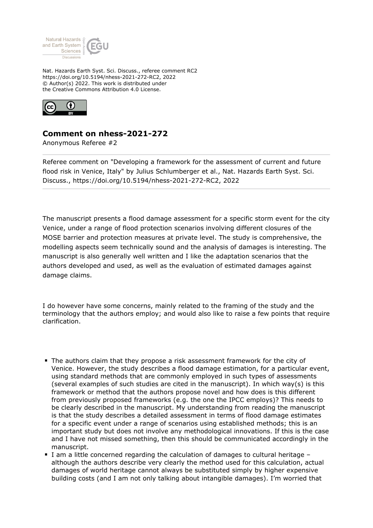

Nat. Hazards Earth Syst. Sci. Discuss., referee comment RC2 https://doi.org/10.5194/nhess-2021-272-RC2, 2022 © Author(s) 2022. This work is distributed under the Creative Commons Attribution 4.0 License.



## **Comment on nhess-2021-272**

Anonymous Referee #2

Referee comment on "Developing a framework for the assessment of current and future flood risk in Venice, Italy" by Julius Schlumberger et al., Nat. Hazards Earth Syst. Sci. Discuss., https://doi.org/10.5194/nhess-2021-272-RC2, 2022

The manuscript presents a flood damage assessment for a specific storm event for the city Venice, under a range of flood protection scenarios involving different closures of the MOSE barrier and protection measures at private level. The study is comprehensive, the modelling aspects seem technically sound and the analysis of damages is interesting. The manuscript is also generally well written and I like the adaptation scenarios that the authors developed and used, as well as the evaluation of estimated damages against damage claims.

I do however have some concerns, mainly related to the framing of the study and the terminology that the authors employ; and would also like to raise a few points that require clarification.

- The authors claim that they propose a risk assessment framework for the city of Venice. However, the study describes a flood damage estimation, for a particular event, using standard methods that are commonly employed in such types of assessments (several examples of such studies are cited in the manuscript). In which way(s) is this framework or method that the authors propose novel and how does is this different from previously proposed frameworks (e.g. the one the IPCC employs)? This needs to be clearly described in the manuscript. My understanding from reading the manuscript is that the study describes a detailed assessment in terms of flood damage estimates for a specific event under a range of scenarios using established methods; this is an important study but does not involve any methodological innovations. If this is the case and I have not missed something, then this should be communicated accordingly in the manuscript.
- I am a little concerned regarding the calculation of damages to cultural heritage although the authors describe very clearly the method used for this calculation, actual damages of world heritage cannot always be substituted simply by higher expensive building costs (and I am not only talking about intangible damages). I'm worried that